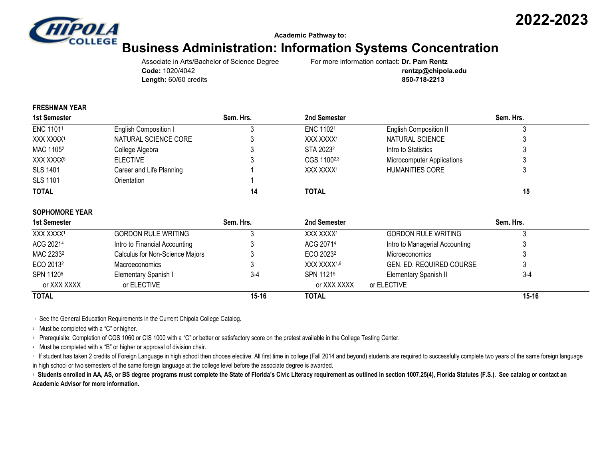

**Academic Pathway to:**

# **Business Administration: Information Systems Concentration**

Associate in Arts/Bachelor of Science Degree For more information contact: **Dr. Pam Rentz Length:** 60/60 credits **850-718-2213**

**Code:** 1020/4042 **rentzp@chipola.edu**

### **FRESHMAN YEAR**

| 1st Semester          |                          | Sem. Hrs. | 2nd Semester          |                                   | Sem. Hrs. |  |
|-----------------------|--------------------------|-----------|-----------------------|-----------------------------------|-----------|--|
| ENC 11011             | English Composition I    |           | ENC 11021             | <b>English Composition II</b>     |           |  |
| XXX XXXX <sup>1</sup> | NATURAL SCIENCE CORE     |           | XXX XXXX1             | NATURAL SCIENCE                   |           |  |
| MAC 1105 <sup>2</sup> | College Algebra          |           | STA 2023 <sup>2</sup> | Intro to Statistics               |           |  |
| XXX XXXX <sup>6</sup> | <b>ELECTIVE</b>          |           | CGS 11002,3           | <b>Microcomputer Applications</b> |           |  |
| <b>SLS 1401</b>       | Career and Life Planning |           | XXX XXXX1             | HUMANITIES CORE                   |           |  |
| <b>SLS 1101</b>       | Orientation              |           |                       |                                   |           |  |
| <b>TOTAL</b>          |                          | 14        | <b>TOTAL</b>          |                                   | 15        |  |

#### **SOPHOMORE YEAR**

| 1st Semester          |                                 | Sem. Hrs. | 2nd Semester            |                                | Sem. Hrs. |  |
|-----------------------|---------------------------------|-----------|-------------------------|--------------------------------|-----------|--|
| XXX XXXX1             | <b>GORDON RULE WRITING</b>      |           | XXX XXXX <sup>1</sup>   | <b>GORDON RULE WRITING</b>     |           |  |
| ACG 20214             | Intro to Financial Accounting   |           | ACG 20714               | Intro to Managerial Accounting |           |  |
| MAC 2233 <sup>2</sup> | Calculus for Non-Science Majors |           | ECO 2023 <sup>2</sup>   | Microeconomics                 |           |  |
| ECO 2013 <sup>2</sup> | Macroeconomics                  |           | XXX XXXX <sup>1,6</sup> | GEN. ED. REQUIRED COURSE       |           |  |
| SPN 11205             | Elementary Spanish I            | $3-4$     | SPN 11215               | Elementary Spanish II          | $3 - 4$   |  |
| or XXX XXXX           | or ELECTIVE                     |           | or XXX XXXX             | or ELECTIVE                    |           |  |
| <b>TOTAL</b>          |                                 | $15 - 16$ | <b>TOTAL</b>            |                                | $15 - 16$ |  |

<sup>1</sup> See the General Education Requirements in the Current Chipola College Catalog.

<sup>2</sup> Must be completed with a "C" or higher.

<sup>3</sup> Prerequisite: Completion of CGS 1060 or CIS 1000 with a "C" or better or satisfactory score on the pretest available in the College Testing Center.

<sup>4</sup> Must be completed with a "B" or higher or approval of division chair.

If student has taken 2 credits of Foreign Language in high school then choose elective. All first time in college (Fall 2014 and beyond) students are required to successfully complete two years of the same foreign language in high school or two semesters of the same foreign language at the college level before the associate degree is awarded.

© Students enrolled in AA, AS, or BS degree programs must complete the State of Florida's Civic Literacy requirement as outlined in section 1007.25(4), Florida Statutes (F.S.). See catalog or contact an **Academic Advisor for more information.**